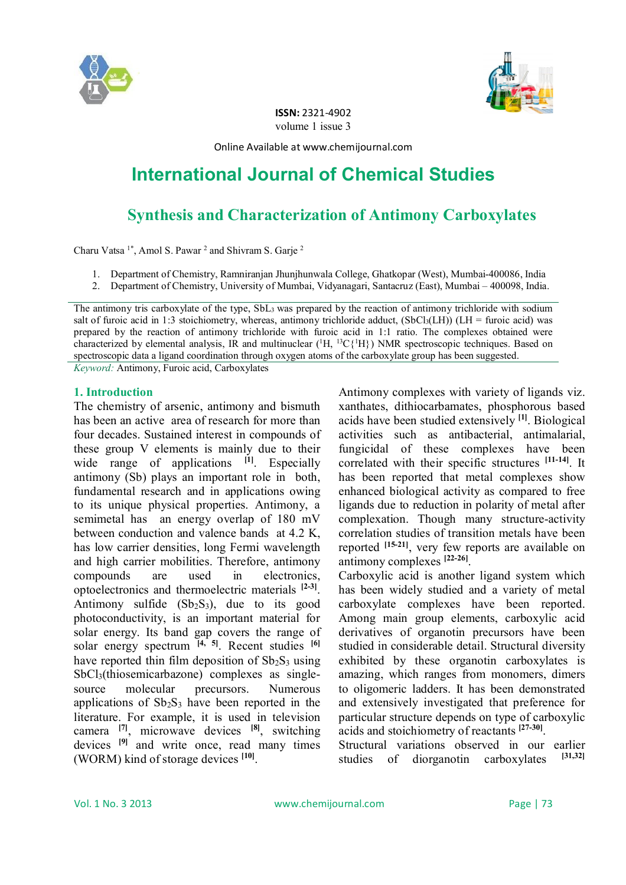



**ISSN:** 2321-4902 volume 1 issue 3

Online Available at www.chemijournal.com

# **International Journal of Chemical Studies**

## **Synthesis and Characterization of Antimony Carboxylates**

Charu Vatsa  $1^*$ , Amol S. Pawar<sup>2</sup> and Shivram S. Garje<sup>2</sup>

- 1. Department of Chemistry, Ramniranjan Jhunjhunwala College, Ghatkopar (West), Mumbai-400086, India
- 2. Department of Chemistry, University of Mumbai, Vidyanagari, Santacruz (East), Mumbai 400098, India.

The antimony tris carboxylate of the type,  $SbL<sub>3</sub>$  was prepared by the reaction of antimony trichloride with sodium salt of furoic acid in 1:3 stoichiometry, whereas, antimony trichloride adduct,  $(SbCl<sub>3</sub>(LH))$  (LH = furoic acid) was prepared by the reaction of antimony trichloride with furoic acid in 1:1 ratio. The complexes obtained were characterized by elemental analysis, IR and multinuclear (<sup>1</sup>H, <sup>13</sup>C{<sup>1</sup>H}) NMR spectroscopic techniques. Based on spectroscopic data a ligand coordination through oxygen atoms of the carboxylate group has been suggested. *Keyword:* Antimony, Furoic acid, Carboxylates

## **1. Introduction**

The chemistry of arsenic, antimony and bismuth has been an active area of research for more than four decades. Sustained interest in compounds of these group V elements is mainly due to their wide range of applications <sup>[1]</sup>. Especially antimony (Sb) plays an important role in both, fundamental research and in applications owing to its unique physical properties. Antimony, a semimetal has an energy overlap of 180 mV between conduction and valence bands at 4.2 K, has low carrier densities, long Fermi wavelength and high carrier mobilities. Therefore, antimony compounds are used in electronics, optoelectronics and thermoelectric materials **[2-3]** . Antimony sulfide  $(Sb<sub>2</sub>S<sub>3</sub>)$ , due to its good photoconductivity, is an important material for solar energy. Its band gap covers the range of solar energy spectrum **[4, 5]**. Recent studies **[6]** have reported thin film deposition of  $Sb_2S_3$  using SbCl<sub>3</sub>(thiosemicarbazone) complexes as singlesource molecular precursors. Numerous applications of  $Sb_2S_3$  have been reported in the literature. For example, it is used in television camera **[7]**, microwave devices **[8]**, switching devices **[9]** and write once, read many times (WORM) kind of storage devices **[10]** .

Antimony complexes with variety of ligands viz. xanthates, dithiocarbamates, phosphorous based acids have been studied extensively **[1]**. Biological activities such as antibacterial, antimalarial, fungicidal of these complexes have been correlated with their specific structures **[11-14]** . It has been reported that metal complexes show enhanced biological activity as compared to free ligands due to reduction in polarity of metal after complexation. Though many structure-activity correlation studies of transition metals have been reported **[15-21]**, very few reports are available on antimony complexes **[22-26]** .

Carboxylic acid is another ligand system which has been widely studied and a variety of metal carboxylate complexes have been reported. Among main group elements, carboxylic acid derivatives of organotin precursors have been studied in considerable detail. Structural diversity exhibited by these organotin carboxylates is amazing, which ranges from monomers, dimers to oligomeric ladders. It has been demonstrated and extensively investigated that preference for particular structure depends on type of carboxylic acids and stoichiometry of reactants **[27-30]** .

Structural variations observed in our earlier studies of diorganotin carboxylates **[31,32]**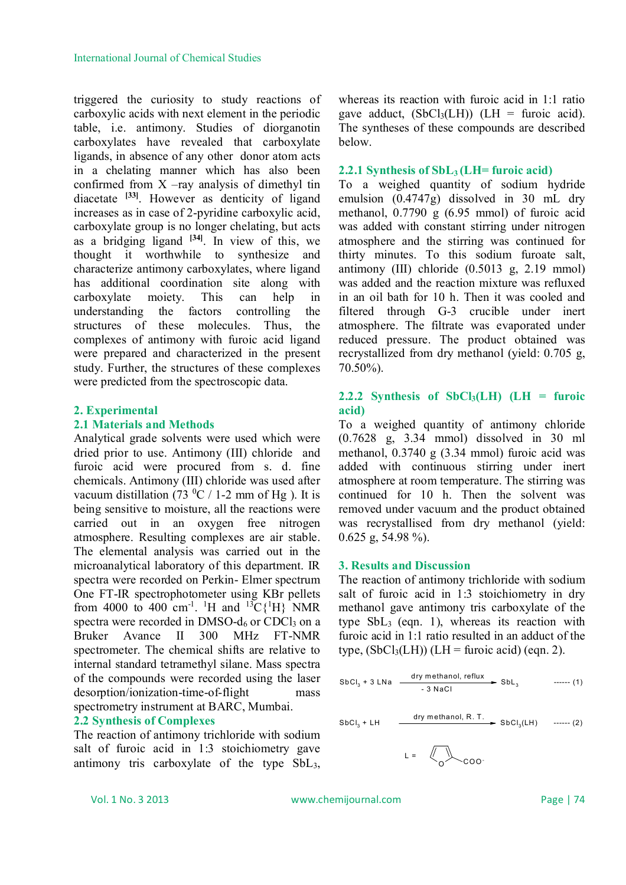triggered the curiosity to study reactions of carboxylic acids with next element in the periodic table, i.e. antimony. Studies of diorganotin carboxylates have revealed that carboxylate ligands, in absence of any other donor atom acts in a chelating manner which has also been confirmed from  $X$  –ray analysis of dimethyl tin diacetate **[33]**. However as denticity of ligand increases as in case of 2-pyridine carboxylic acid, carboxylate group is no longer chelating, but acts as a bridging ligand **[34]** . In view of this, we thought it worthwhile to synthesize and characterize antimony carboxylates, where ligand has additional coordination site along with carboxylate moiety. This can help in understanding the factors controlling the structures of these molecules. Thus, the complexes of antimony with furoic acid ligand were prepared and characterized in the present study. Further, the structures of these complexes were predicted from the spectroscopic data.

## **2. Experimental**

### **2.1 Materials and Methods**

Analytical grade solvents were used which were dried prior to use. Antimony (III) chloride and furoic acid were procured from s. d. fine chemicals. Antimony (III) chloride was used after vacuum distillation (73  $^{\circ}$ C / 1-2 mm of Hg ). It is being sensitive to moisture, all the reactions were carried out in an oxygen free nitrogen atmosphere. Resulting complexes are air stable. The elemental analysis was carried out in the microanalytical laboratory of this department. IR spectra were recorded on Perkin- Elmer spectrum One FT-IR spectrophotometer using KBr pellets from 4000 to 400 cm<sup>-1</sup>. <sup>1</sup>H and <sup>13</sup>C{<sup>1</sup>H} NMR spectra were recorded in  $DMSO-d<sub>6</sub>$  or CDCl<sub>3</sub> on a Bruker Avance II 300 MHz FT-NMR spectrometer. The chemical shifts are relative to internal standard tetramethyl silane. Mass spectra of the compounds were recorded using the laser desorption/ionization-time-of-flight mass spectrometry instrument at BARC, Mumbai.

## **2.2 Synthesis of Complexes**

The reaction of antimony trichloride with sodium salt of furoic acid in 1:3 stoichiometry gave antimony tris carboxylate of the type SbL3,

whereas its reaction with furoic acid in 1:1 ratio gave adduct,  $(SbCl<sub>3</sub>(LH))$  (LH = furoic acid). The syntheses of these compounds are described below.

### **2.2.1 Synthesis of SbL3 (LH= furoic acid)**

To a weighed quantity of sodium hydride emulsion (0.4747g) dissolved in 30 mL dry methanol, 0.7790 g (6.95 mmol) of furoic acid was added with constant stirring under nitrogen atmosphere and the stirring was continued for thirty minutes. To this sodium furoate salt, antimony (III) chloride (0.5013 g, 2.19 mmol) was added and the reaction mixture was refluxed in an oil bath for 10 h. Then it was cooled and filtered through G-3 crucible under inert atmosphere. The filtrate was evaporated under reduced pressure. The product obtained was recrystallized from dry methanol (yield: 0.705 g, 70.50%).

## **2.2.2 Synthesis of SbCl3(LH) (LH = furoic acid)**

To a weighed quantity of antimony chloride (0.7628 g, 3.34 mmol) dissolved in 30 ml methanol, 0.3740 g (3.34 mmol) furoic acid was added with continuous stirring under inert atmosphere at room temperature. The stirring was continued for 10 h. Then the solvent was removed under vacuum and the product obtained was recrystallised from dry methanol (yield: 0.625 g, 54.98 %).

## **3. Results and Discussion**

The reaction of antimony trichloride with sodium salt of furoic acid in 1:3 stoichiometry in dry methanol gave antimony tris carboxylate of the type SbL3 (eqn. 1), whereas its reaction with furoic acid in 1:1 ratio resulted in an adduct of the type,  $(SbCl<sub>3</sub>(LH))$  (LH = furoic acid) (eqn. 2).

$$
SbCl3 + 3 LNa \xrightarrow{dry methanol, reflux} SbL3 \xrightarrow{1}
$$
 (1)

SbCl<sup>3</sup> + LH dry m ethanol, R. T. SbCl<sup>3</sup> (LH) ------ (2)

$$
L = \sqrt{\frac{1}{0}} \cos \theta
$$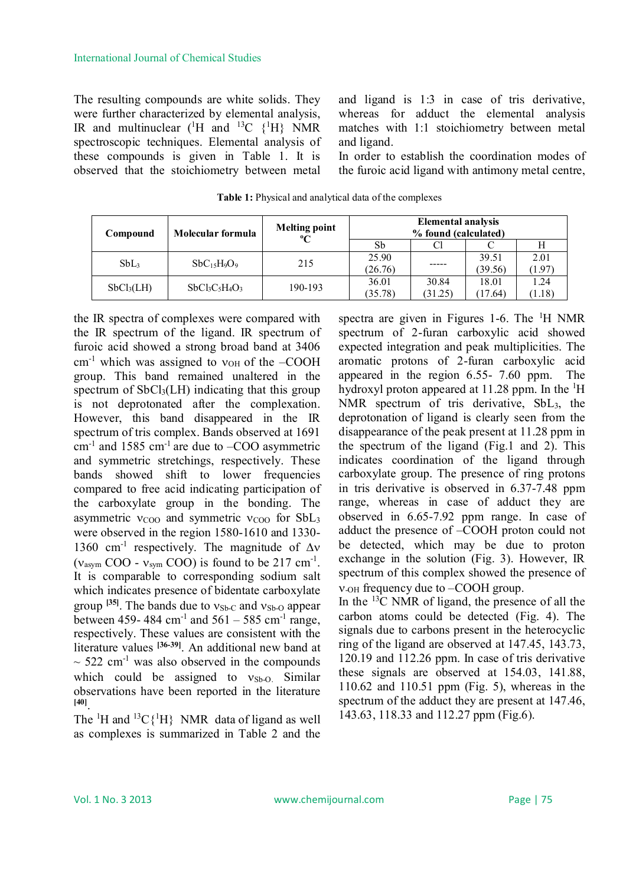The resulting compounds are white solids. They were further characterized by elemental analysis, IR and multinuclear  $(^1H$  and <sup>13</sup>C  $(^1H)$  NMR spectroscopic techniques. Elemental analysis of these compounds is given in Table 1. It is observed that the stoichiometry between metal

and ligand is 1:3 in case of tris derivative, whereas for adduct the elemental analysis matches with 1:1 stoichiometry between metal and ligand.

In order to establish the coordination modes of the furoic acid ligand with antimony metal centre,

| Compound               | Molecular formula | <b>Melting point</b><br>$\rm ^{o}C$ | <b>Elemental analysis</b><br>% found (calculated) |                  |                  |                |
|------------------------|-------------------|-------------------------------------|---------------------------------------------------|------------------|------------------|----------------|
|                        |                   |                                     | Sb                                                |                  |                  |                |
| SbL <sub>3</sub>       | $SbC_{15}H_9O_9$  | 215                                 | 25.90<br>(26.76)                                  | -----            | 39.51<br>(39.56) | 2.01<br>(1.97  |
| SbCl <sub>3</sub> (LH) | $SbCl_3C_5H_4O_3$ | 190-193                             | 36.01<br>(35.78)                                  | 30.84<br>(31.25) | 18.01<br>(17.64) | 1.24<br>(1.18) |

**Table 1:** Physical and analytical data of the complexes

the IR spectra of complexes were compared with the IR spectrum of the ligand. IR spectrum of furoic acid showed a strong broad band at 3406  $cm^{-1}$  which was assigned to  $v_{OH}$  of the –COOH group. This band remained unaltered in the spectrum of  $SbCl<sub>3</sub>(LH)$  indicating that this group is not deprotonated after the complexation. However, this band disappeared in the IR spectrum of tris complex. Bands observed at 1691  $cm<sup>-1</sup>$  and 1585  $cm<sup>-1</sup>$  are due to  $-COO$  asymmetric and symmetric stretchings, respectively. These bands showed shift to lower frequencies compared to free acid indicating participation of the carboxylate group in the bonding. The asymmetric  $v_{\text{COO}}$  and symmetric  $v_{\text{COO}}$  for SbL<sub>3</sub> were observed in the region 1580-1610 and 1330- 1360 cm<sup>-1</sup> respectively. The magnitude of  $\Delta v$  $(v<sub>asym</sub> COO - v<sub>sym</sub> COO)$  is found to be 217 cm<sup>-1</sup>. It is comparable to corresponding sodium salt which indicates presence of bidentate carboxylate group  $\begin{bmatrix} 35 \end{bmatrix}$ . The bands due to  $v_{\text{Sb-C}}$  and  $v_{\text{Sb-O}}$  appear between 459- 484 cm<sup>-1</sup> and  $561 - 585$  cm<sup>-1</sup> range, respectively. These values are consistent with the literature values **[36-39]**. An additional new band at  $\sim$  522 cm<sup>-1</sup> was also observed in the compounds which could be assigned to  $v_{Sb-O}$ . Similar observations have been reported in the literature **[40]** .

The  ${}^{1}H$  and  ${}^{13}C\{ {}^{1}H\}$  NMR data of ligand as well as complexes is summarized in Table 2 and the spectra are given in Figures 1-6. The  $\mathrm{^{1}H}$  NMR spectrum of 2-furan carboxylic acid showed expected integration and peak multiplicities. The aromatic protons of 2-furan carboxylic acid appeared in the region 6.55- 7.60 ppm. The hydroxyl proton appeared at 11.28 ppm. In the  ${}^{1}H$ NMR spectrum of tris derivative, SbL3, the deprotonation of ligand is clearly seen from the disappearance of the peak present at 11.28 ppm in the spectrum of the ligand (Fig.1 and 2). This indicates coordination of the ligand through carboxylate group. The presence of ring protons in tris derivative is observed in 6.37-7.48 ppm range, whereas in case of adduct they are observed in 6.65-7.92 ppm range. In case of adduct the presence of –COOH proton could not be detected, which may be due to proton exchange in the solution (Fig. 3). However, IR spectrum of this complex showed the presence of  $v_{\text{OH}}$  frequency due to  $\text{-COOH}$  group.

In the  $^{13}$ C NMR of ligand, the presence of all the carbon atoms could be detected (Fig. 4). The signals due to carbons present in the heterocyclic ring of the ligand are observed at 147.45, 143.73, 120.19 and 112.26 ppm. In case of tris derivative these signals are observed at 154.03, 141.88, 110.62 and 110.51 ppm (Fig. 5), whereas in the spectrum of the adduct they are present at 147.46, 143.63, 118.33 and 112.27 ppm (Fig.6).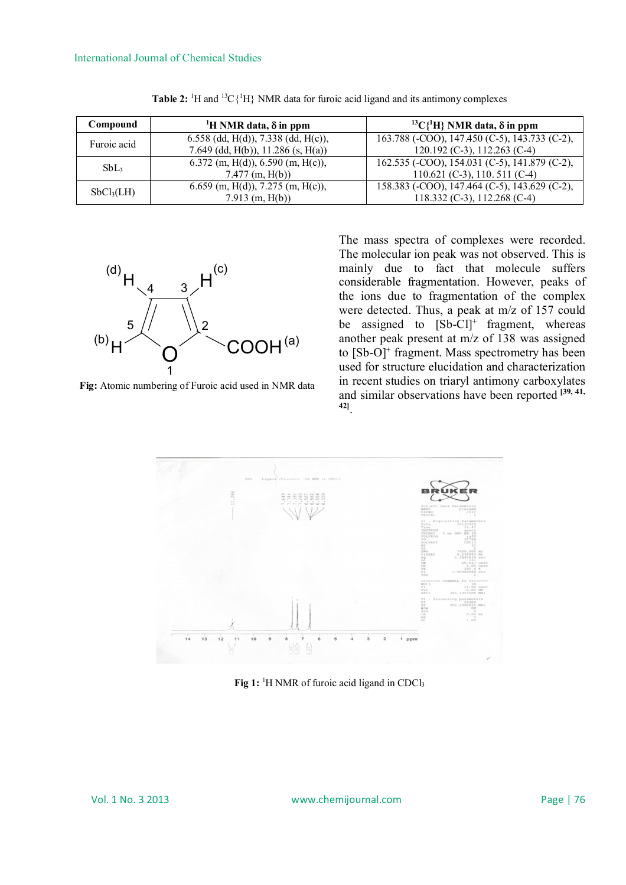| Compound               | <sup>1</sup> H NMR data, $\delta$ in ppm                                      | <sup>13</sup> C{ <sup>1</sup> H} NMR data, $\delta$ in ppm                    |  |  |
|------------------------|-------------------------------------------------------------------------------|-------------------------------------------------------------------------------|--|--|
| Furoic acid            | 6.558 (dd, H(d)), $7.338$ (dd, H(c)),<br>7.649 (dd, H(b)), $11.286$ (s, H(a)) | 163.788 (-COO), 147.450 (C-5), 143.733 (C-2),<br>120.192 (C-3), 112.263 (C-4) |  |  |
| SbL <sub>3</sub>       | 6.372 (m, H(d)), 6.590 (m, H(c)),<br>$7.477$ (m, H(b))                        | 162.535 (-COO), 154.031 (C-5), 141.879 (C-2),<br>110.621 (C-3), 110.511 (C-4) |  |  |
| SbCl <sub>3</sub> (LH) | 6.659 (m, H(d)), 7.275 (m, H(c)),<br>$7.913$ (m, H(b))                        | 158.383 (-COO), 147.464 (C-5), 143.629 (C-2),<br>118.332 (C-3), 112.268 (C-4) |  |  |

Table 2: <sup>1</sup>H and <sup>13</sup>C{<sup>1</sup>H} NMR data for furoic acid ligand and its antimony complexes



**Fig:** Atomic numbering of Furoic acid used in NMR data

The mass spectra of complexes were recorded. The molecular ion peak was not observed. This is mainly due to fact that molecule suffers considerable fragmentation. However, peaks of the ions due to fragmentation of the complex were detected. Thus, a peak at m/z of 157 could be assigned to  $[Sb-Cl]^+$  fragment, whereas another peak present at m/z of 138 was assigned to [Sb-O]<sup>+</sup> fragment. Mass spectrometry has been used for structure elucidation and characterization in recent studies on triaryl antimony carboxylates and similar observations have been reported **[39, 41, 42]** .



Fig 1: <sup>1</sup>H NMR of furoic acid ligand in CDCl<sub>3</sub>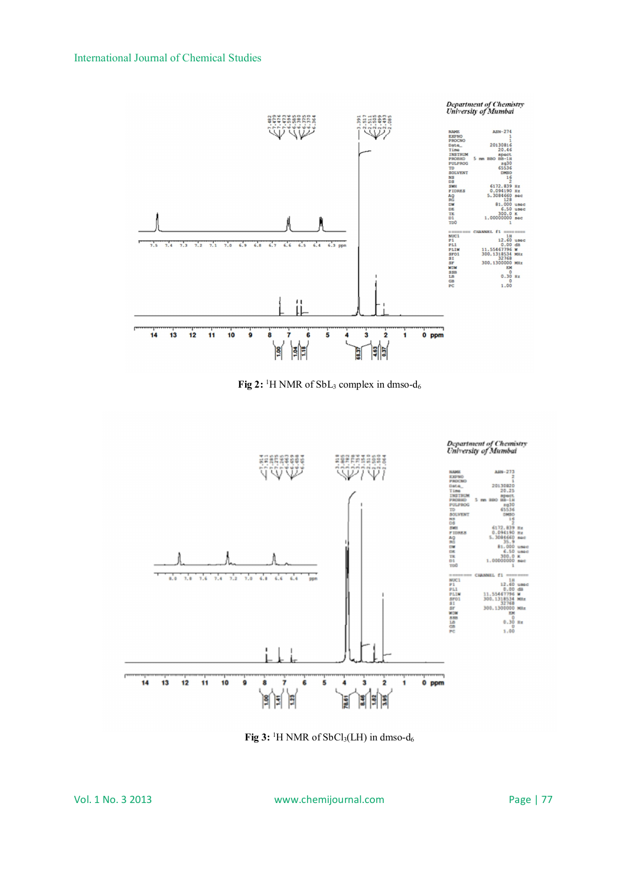

**Fig 2:** <sup>1</sup>H NMR of SbL<sub>3</sub> complex in dmso-d<sub>6</sub>



Fig 3: <sup>1</sup>H NMR of SbCl<sub>3</sub>(LH) in dmso-d<sub>6</sub>

Vol. 1 No. 3 2013 www.chemijournal.com Page | 77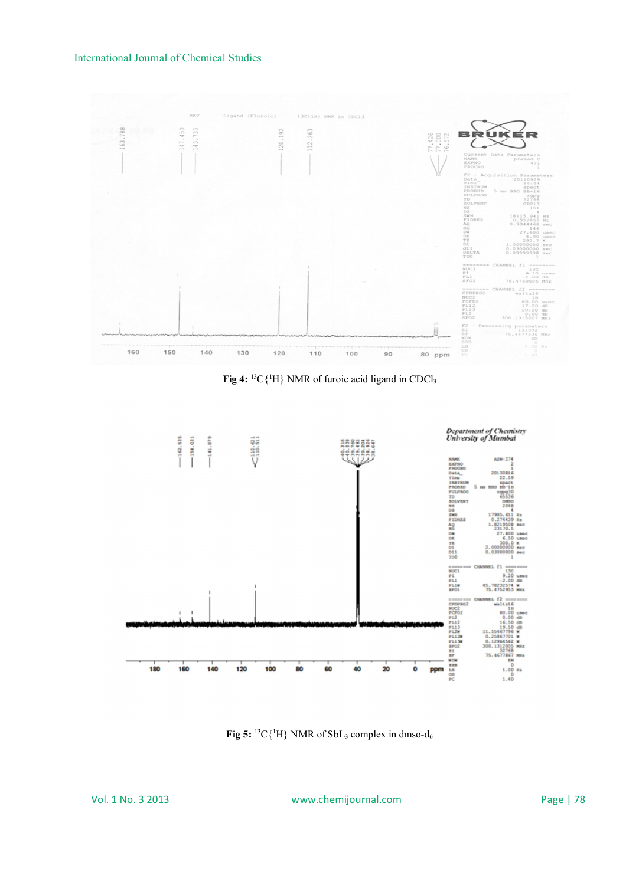## International Journal of Chemical Studies



Fig 4: <sup>13</sup>C{<sup>1</sup>H} NMR of furoic acid ligand in CDCl<sub>3</sub>



**Fig 5:** <sup>13</sup>C $\{^1H\}$  NMR of SbL<sub>3</sub> complex in dmso-d<sub>6</sub>

Vol. 1 No. 3 2013 www.chemijournal.com Page | 78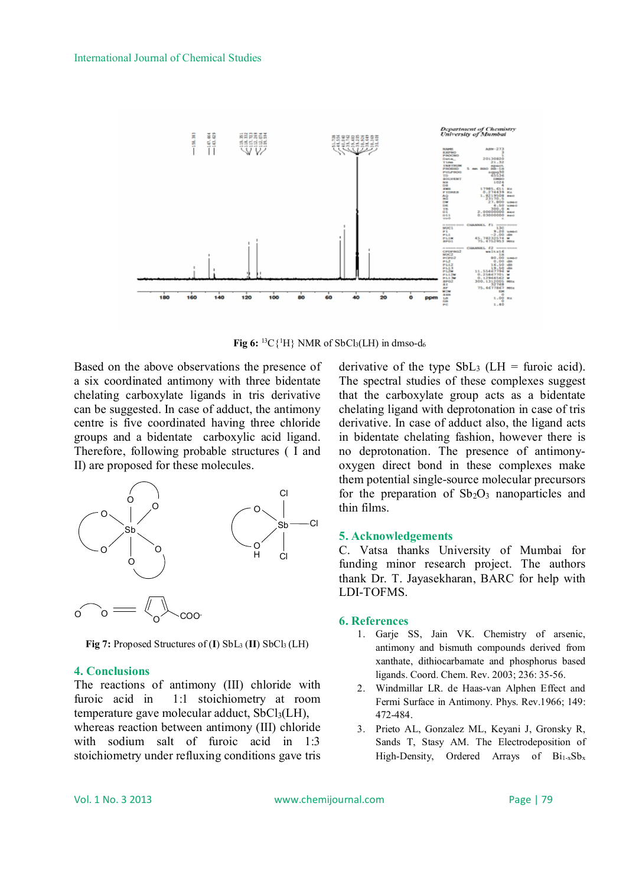

**Fig 6:** <sup>13</sup>C{<sup>1</sup>H} NMR of SbCl<sub>3</sub>(LH) in dmso-d<sub>6</sub>

Based on the above observations the presence of a six coordinated antimony with three bidentate chelating carboxylate ligands in tris derivative can be suggested. In case of adduct, the antimony centre is five coordinated having three chloride groups and a bidentate carboxylic acid ligand. Therefore, following probable structures ( I and II) are proposed for these molecules.



**Fig 7:** Proposed Structures of  $(I)$  SbL<sub>3</sub>  $(II)$  SbCl<sub>3</sub>  $(LH)$ 

## **4. Conclusions**

The reactions of antimony (III) chloride with furoic acid in 1:1 stoichiometry at room temperature gave molecular adduct,  $SbCl<sub>3</sub>(LH)$ , whereas reaction between antimony (III) chloride with sodium salt of furoic acid in 1:3 stoichiometry under refluxing conditions gave tris

derivative of the type  $SbL_3$  (LH = furoic acid). The spectral studies of these complexes suggest that the carboxylate group acts as a bidentate chelating ligand with deprotonation in case of tris derivative. In case of adduct also, the ligand acts in bidentate chelating fashion, however there is no deprotonation. The presence of antimonyoxygen direct bond in these complexes make them potential single-source molecular precursors for the preparation of  $Sb<sub>2</sub>O<sub>3</sub>$  nanoparticles and thin films.

## **5. Acknowledgements**

C. Vatsa thanks University of Mumbai for funding minor research project. The authors thank Dr. T. Jayasekharan, BARC for help with LDI-TOFMS.

#### **6. References**

- 1. Garje SS, Jain VK. Chemistry of arsenic, antimony and bismuth compounds derived from xanthate, dithiocarbamate and phosphorus based ligands. Coord. Chem. Rev. 2003; 236: 35-56.
- 2. Windmillar LR. de Haas-van Alphen Effect and Fermi Surface in Antimony. Phys. Rev.1966; 149: 472-484.
- 3. Prieto AL, Gonzalez ML, Keyani J, Gronsky R, Sands T, Stasy AM. The Electrodeposition of High-Density, Ordered Arrays of  $Bi_{1-x}Sb_x$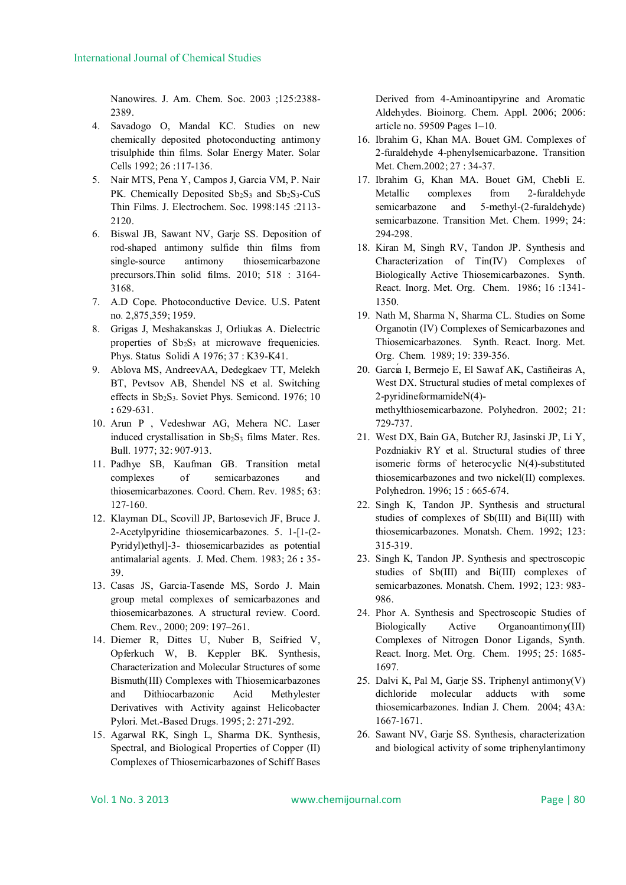Nanowires. J. Am. Chem. Soc. 2003 ;125:2388- 2389.

- 4. Savadogo O, Mandal KC. Studies on new chemically deposited photoconducting antimony trisulphide thin films. Solar Energy Mater. Solar Cells 1992; 26 :117-136.
- 5. Nair MTS, Pena Y, Campos J, Garcia VM, P. Nair PK. Chemically Deposited  $Sb_2S_3$  and  $Sb_2S_3$ -CuS Thin Films. J. Electrochem. Soc. 1998:145 :2113- 2120.
- 6. Biswal JB, Sawant NV, Garje SS. Deposition of rod-shaped antimony sulfide thin films from single-source antimony thiosemicarbazone precursors.Thin solid films. 2010; 518 : 3164- 3168.
- 7. A.D Cope. Photoconductive Device. U.S. Patent no*.* 2,875,359; 1959.
- 8. Grigas J, Meshakanskas J, Orliukas A. Dielectric properties of Sb<sub>2</sub>S<sub>3</sub> at microwave frequenicies. Phys. Status Solidi A 1976; 37 : K39-K41.
- 9. Ablova MS, AndreevAA, Dedegkaev TT, Melekh BT, Pevtsov AB, Shendel NS et al. Switching effects in Sb<sub>2</sub>S<sub>3</sub>. Soviet Phys. Semicond. 1976; 10 **:** 629-631.
- 10. Arun P , Vedeshwar AG, Mehera NC. Laser induced crystallisation in  $Sb_2S_3$  films Mater. Res. Bull. 1977; 32: 907-913.
- 11. Padhye SB, Kaufman GB. Transition metal complexes of semicarbazones and thiosemicarbazones. Coord. Chem. Rev. 1985; 63: 127-160.
- 12. Klayman DL, Scovill JP, Bartosevich JF, Bruce J. 2-Acetylpyridine thiosemicarbazones. 5. 1-[1-(2- Pyridyl)ethyl]-3- thiosemicarbazides as potential antimalarial agents. J. Med. Chem. 1983; 26 **:** 35- 39.
- 13. Casas JS, Garcia-Tasende MS, Sordo J. Main group metal complexes of semicarbazones and thiosemicarbazones. A structural review. Coord. Chem. Rev., 2000; 209: 197–261.
- 14. Diemer R, Dittes U, Nuber B, Seifried V, Opferkuch W, B. Keppler BK. Synthesis, Characterization and Molecular Structures of some Bismuth(III) Complexes with Thiosemicarbazones and Dithiocarbazonic Acid Methylester Derivatives with Activity against Helicobacter Pylori. Met.-Based Drugs. 1995; 2: 271-292.
- 15. Agarwal RK, Singh L, Sharma DK. Synthesis, Spectral, and Biological Properties of Copper (II) Complexes of Thiosemicarbazones of Schiff Bases

Derived from 4-Aminoantipyrine and Aromatic Aldehydes. Bioinorg. Chem. Appl. 2006; 2006: article no. 59509 Pages 1–10.

- 16. Ibrahim G, Khan MA. Bouet GM. Complexes of 2-furaldehyde 4-phenylsemicarbazone. Transition Met. Chem.2002; 27 : 34-37.
- 17. Ibrahim G, Khan MA. Bouet GM, Chebli E. Metallic complexes from 2-furaldehyde semicarbazone and 5-methyl-(2-furaldehyde) semicarbazone. Transition Met. Chem. 1999; 24: 294-298.
- 18. Kiran M, Singh RV, Tandon JP. Synthesis and Characterization of Tin(IV) Complexes of Biologically Active Thiosemicarbazones. Synth. React. Inorg. Met. Org. Chem. 1986; 16 :1341- 1350.
- 19. Nath M, Sharma N, Sharma CL. Studies on Some Organotin (IV) Complexes of Semicarbazones and Thiosemicarbazones. Synth. React. Inorg. Met. Org. Chem. 1989; 19: 339-356.
- 20. Garcı́a I, Bermejo E, El Sawaf AK, Castiñeiras A, West DX. Structural studies of metal complexes of 2-pyridineformamideN(4) methylthiosemicarbazone. Polyhedron. 2002; 21: 729-737.
- 21. West DX, Bain GA, Butcher RJ, Jasinski JP, Li Y, Pozdniakiv RY et al. Structural studies of three isomeric forms of heterocyclic N(4)-substituted thiosemicarbazones and two nickel(II) complexes. Polyhedron. 1996; 15 : 665-674.
- 22. Singh K, Tandon JP. Synthesis and structural studies of complexes of Sb(III) and Bi(III) with thiosemicarbazones. Monatsh. Chem. 1992; 123: 315-319.
- 23. Singh K, Tandon JP. Synthesis and spectroscopic studies of Sb(III) and Bi(III) complexes of semicarbazones. Monatsh. Chem. 1992; 123: 983- 986.
- 24. Phor A. Synthesis and Spectroscopic Studies of Biologically Active Organoantimony(III) Complexes of Nitrogen Donor Ligands, Synth. React. Inorg. Met. Org. Chem. 1995; 25: 1685- 1697.
- 25. Dalvi K, Pal M, Garje SS. Triphenyl antimony(V) dichloride molecular adducts with some thiosemicarbazones. Indian J. Chem. 2004; 43A: 1667-1671.
- 26. Sawant NV, Garje SS. Synthesis, characterization and biological activity of some triphenylantimony